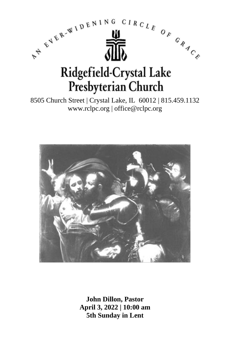

8505 Church Street | Crystal Lake, IL 60012 | 815.459.1132 www.rclpc.org | office@rclpc.org



**John Dillon, Pastor April 3, 2022 | 10:00 am 5th Sunday in Lent**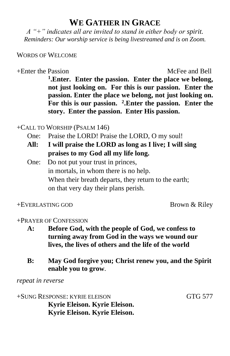## **WE GATHER IN GRACE**

*A "+" indicates all are invited to stand in either body or spirit. Reminders: Our worship service is being livestreamed and is on Zoom.*

#### WORDS OF WELCOME

### +Enter the Passion McFee and Bell

**1 .Enter. Enter the passion. Enter the place we belong, not just looking on. For this is our passion. Enter the passion. Enter the place we belong, not just looking on. For this is our passion. <sup>2</sup> .Enter the passion. Enter the story. Enter the passion. Enter His passion.**

+CALL TO WORSHIP (PSALM 146)

- One: Praise the LORD! Praise the LORD, O my soul!
- **All: I will praise the LORD as long as I live; I will sing praises to my God all my life long.**
- One: Do not put your trust in princes, in mortals, in whom there is no help. When their breath departs, they return to the earth; on that very day their plans perish.

+EVERLASTING GOD Brown & Riley

#### +PRAYER OF CONFESSION

- **A: Before God, with the people of God, we confess to turning away from God in the ways we wound our lives, the lives of others and the life of the world**
- **B: May God forgive you; Christ renew you, and the Spirit enable you to grow**.

*repeat in reverse*

+SUNG RESPONSE: KYRIE ELEISON GTG 577 **Kyrie Eleison. Kyrie Eleison. Kyrie Eleison. Kyrie Eleison.**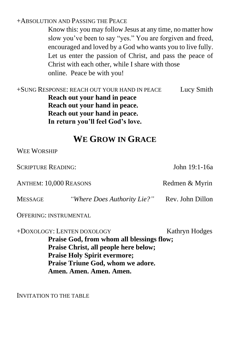#### +ABSOLUTION AND PASSING THE PEACE

Know this: you may follow Jesus at any time, no matter how slow you've been to say "yes." You are forgiven and freed, encouraged and loved by a God who wants you to live fully. Let us enter the passion of Christ, and pass the peace of Christ with each other, while I share with those online. Peace be with you!

| +SUNG RESPONSE: REACH OUT YOUR HAND IN PEACE | Lucy Smith |
|----------------------------------------------|------------|
| Reach out your hand in peace                 |            |
| Reach out your hand in peace.                |            |
| Reach out your hand in peace.                |            |
| In return you'll feel God's love.            |            |
|                                              |            |

## **WE GROW IN GRACE**

WEE WORSHIP

SCRIPTURE READING: John 19:1-16a ANTHEM: 10,000 REASONS Redmen & Myrin MESSAGE *"Where Does Authority Lie?"* Rev. John Dillon OFFERING: INSTRUMENTAL +DOXOLOGY: LENTEN DOXOLOGY Kathryn Hodges **Praise God, from whom all blessings flow; Praise Christ, all people here below; Praise Holy Spirit evermore; Praise Triune God, whom we adore.** 

**Amen. Amen. Amen. Amen.**

INVITATION TO THE TABLE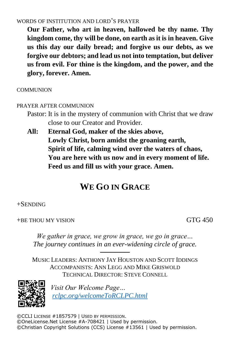#### WORDS OF INSTITUTION AND LORD'S PRAYER

**Our Father, who art in heaven, hallowed be thy name. Thy kingdom come, thy will be done, on earth as it is in heaven. Give us this day our daily bread; and forgive us our debts, as we forgive our debtors; and lead us not into temptation, but deliver us from evil. For thine is the kingdom, and the power, and the glory, forever. Amen.**

**COMMUNION** 

#### PRAYER AFTER COMMUNION

- Pastor: It is in the mystery of communion with Christ that we draw close to our Creator and Provider.
- **All: Eternal God, maker of the skies above, Lowly Christ, born amidst the groaning earth, Spirit of life, calming wind over the waters of chaos, You are here with us now and in every moment of life. Feed us and fill us with your grace. Amen.**

# **WE GO IN GRACE**

#### +SENDING

+BE THOU MY VISION GTG 450

*We gather in grace, we grow in grace, we go in grace… The journey continues in an ever-widening circle of grace.*

────── MUSIC LEADERS: ANTHONY JAY HOUSTON AND SCOTT IDDINGS ACCOMPANISTS: ANN LEGG AND MIKE GRISWOLD TECHNICAL DIRECTOR: STEVE CONNELL



*Visit Our Welcome Page… [rclpc.org/welcomeToRCLPC.html](http://rclpc.org/welcomeToRCLPC.html)*

©CCLI LICENSE #1857579 | USED BY PERMISSION. ©OneLicense.Net License #A-708421 | Used by permission. ©Christian Copyright Solutions (CCS) License #13561 | Used by permission.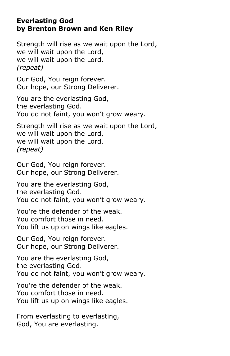### **Everlasting God by Brenton Brown and Ken Riley**

Strength will rise as we wait upon the Lord, we will wait upon the Lord, we will wait upon the Lord. *(repeat)*

Our God, You reign forever. Our hope, our Strong Deliverer.

You are the everlasting God, the everlasting God. You do not faint, you won't grow weary.

Strength will rise as we wait upon the Lord, we will wait upon the Lord, we will wait upon the Lord. *(repeat)*

Our God, You reign forever. Our hope, our Strong Deliverer.

You are the everlasting God, the everlasting God. You do not faint, you won't grow weary.

You're the defender of the weak. You comfort those in need. You lift us up on wings like eagles.

Our God, You reign forever. Our hope, our Strong Deliverer.

You are the everlasting God, the everlasting God. You do not faint, you won't grow weary.

You're the defender of the weak. You comfort those in need. You lift us up on wings like eagles.

From everlasting to everlasting, God, You are everlasting.